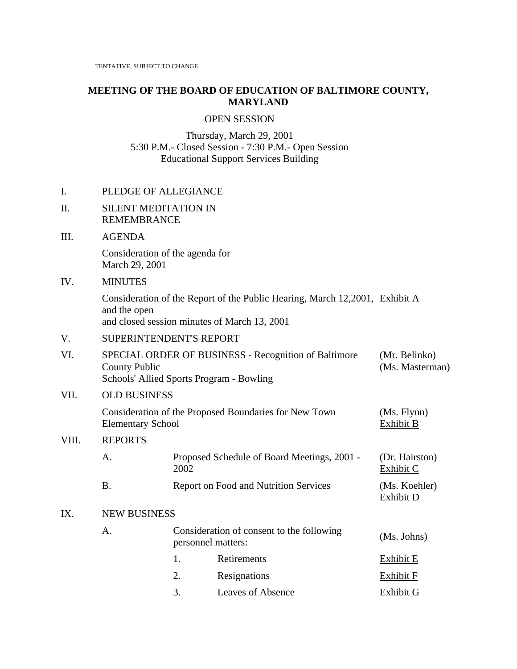# **MEETING OF THE BOARD OF EDUCATION OF BALTIMORE COUNTY, MARYLAND**

#### OPEN SESSION

Thursday, March 29, 2001 5:30 P.M.- Closed Session - 7:30 P.M.- Open Session Educational Support Services Building

## I. PLEDGE OF ALLEGIANCE

#### II. SILENT MEDITATION IN REMEMBRANCE

### III. AGENDA

 Consideration of the agenda for March 29, 2001

#### IV. MINUTES

Consideration of the Report of the Public Hearing, March 12,2001, Exhibit A and the open and closed session minutes of March 13, 2001

# V. SUPERINTENDENT'S REPORT

| VI.   | SPECIAL ORDER OF BUSINESS - Recognition of Baltimore<br>County Public<br>Schools' Allied Sports Program - Bowling | (Mr. Belinko)<br>(Ms. Masterman) |                                                                 |                             |  |  |
|-------|-------------------------------------------------------------------------------------------------------------------|----------------------------------|-----------------------------------------------------------------|-----------------------------|--|--|
| VII.  | <b>OLD BUSINESS</b>                                                                                               |                                  |                                                                 |                             |  |  |
|       | Consideration of the Proposed Boundaries for New Town<br><b>Elementary School</b>                                 | (Ms. Flynn)<br>Exhibit B         |                                                                 |                             |  |  |
| VIII. | <b>REPORTS</b>                                                                                                    |                                  |                                                                 |                             |  |  |
|       | A.                                                                                                                | 2002                             | Proposed Schedule of Board Meetings, 2001 -                     | (Dr. Hairston)<br>Exhibit C |  |  |
|       | <b>B.</b>                                                                                                         |                                  | <b>Report on Food and Nutrition Services</b>                    | (Ms. Koehler)<br>Exhibit D  |  |  |
| IX.   | <b>NEW BUSINESS</b>                                                                                               |                                  |                                                                 |                             |  |  |
|       | A.                                                                                                                |                                  | Consideration of consent to the following<br>personnel matters: | (Ms. Johns)                 |  |  |
|       |                                                                                                                   | 1.                               | Retirements                                                     | Exhibit E                   |  |  |
|       |                                                                                                                   | 2.                               | Resignations                                                    | Exhibit F                   |  |  |
|       |                                                                                                                   |                                  |                                                                 |                             |  |  |

3. Leaves of Absence Exhibit G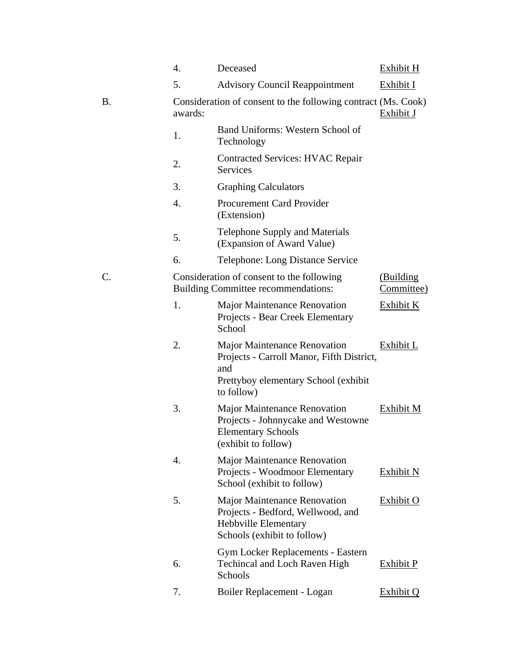|           | 4.      | Deceased                                                                                                                                       | Exhibit H               |
|-----------|---------|------------------------------------------------------------------------------------------------------------------------------------------------|-------------------------|
|           | 5.      | <b>Advisory Council Reappointment</b>                                                                                                          | Exhibit I               |
| <b>B.</b> | awards: | Consideration of consent to the following contract (Ms. Cook)                                                                                  | Exhibit J               |
|           | 1.      | Band Uniforms: Western School of<br>Technology                                                                                                 |                         |
|           | 2.      | <b>Contracted Services: HVAC Repair</b><br><b>Services</b>                                                                                     |                         |
|           | 3.      | <b>Graphing Calculators</b>                                                                                                                    |                         |
|           | 4.      | <b>Procurement Card Provider</b><br>(Extension)                                                                                                |                         |
|           | 5.      | <b>Telephone Supply and Materials</b><br>(Expansion of Award Value)                                                                            |                         |
|           | 6.      | Telephone: Long Distance Service                                                                                                               |                         |
| C.        |         | Consideration of consent to the following<br>Building Committee recommendations:                                                               | (Building<br>Committee) |
|           | 1.      | Major Maintenance Renovation<br>Projects - Bear Creek Elementary<br>School                                                                     | Exhibit K               |
|           | 2.      | <b>Major Maintenance Renovation</b><br>Projects - Carroll Manor, Fifth District,<br>and<br>Prettyboy elementary School (exhibit)<br>to follow) | Exhibit L               |
|           | 3.      | <b>Major Maintenance Renovation</b><br>Projects - Johnnycake and Westowne<br><b>Elementary Schools</b><br>(exhibit to follow)                  | Exhibit M               |
|           | 4.      | <b>Major Maintenance Renovation</b><br>Projects - Woodmoor Elementary<br>School (exhibit to follow)                                            | Exhibit N               |
|           | 5.      | <b>Major Maintenance Renovation</b><br>Projects - Bedford, Wellwood, and<br>Hebbville Elementary<br>Schools (exhibit to follow)                | <b>Exhibit O</b>        |
|           | 6.      | <b>Gym Locker Replacements - Eastern</b><br><b>Techincal and Loch Raven High</b><br>Schools                                                    | <b>Exhibit P</b>        |
|           | 7.      | Boiler Replacement - Logan                                                                                                                     | Exhibit Q               |
|           |         |                                                                                                                                                |                         |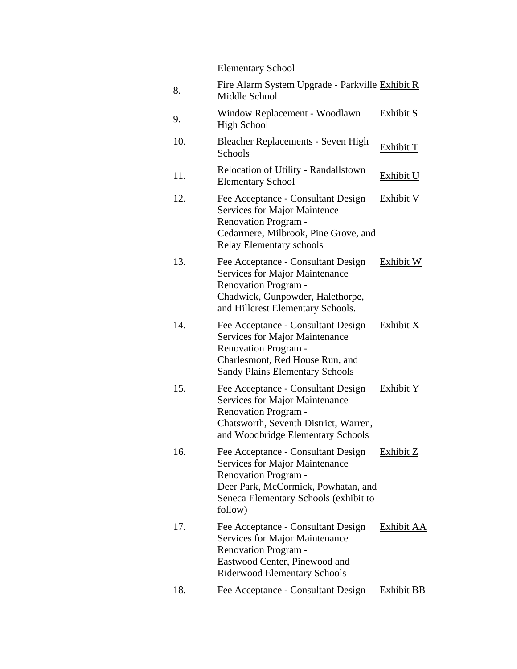Elementary School

| 8.  | Fire Alarm System Upgrade - Parkville Exhibit R<br>Middle School                                                                                                                                      |                  |
|-----|-------------------------------------------------------------------------------------------------------------------------------------------------------------------------------------------------------|------------------|
| 9.  | Window Replacement - Woodlawn<br><b>High School</b>                                                                                                                                                   | <u>Exhibit S</u> |
| 10. | Bleacher Replacements - Seven High<br>Schools                                                                                                                                                         | Exhibit T        |
| 11. | Relocation of Utility - Randallstown<br><b>Elementary School</b>                                                                                                                                      | <b>Exhibit U</b> |
| 12. | Fee Acceptance - Consultant Design<br><b>Services for Major Maintence</b><br><b>Renovation Program -</b><br>Cedarmere, Milbrook, Pine Grove, and<br><b>Relay Elementary schools</b>                   | <b>Exhibit V</b> |
| 13. | Fee Acceptance - Consultant Design<br><b>Services for Major Maintenance</b><br><b>Renovation Program -</b><br>Chadwick, Gunpowder, Halethorpe,<br>and Hillcrest Elementary Schools.                   | Exhibit W        |
| 14. | Fee Acceptance - Consultant Design<br><b>Services for Major Maintenance</b><br><b>Renovation Program -</b><br>Charlesmont, Red House Run, and<br><b>Sandy Plains Elementary Schools</b>               | <b>Exhibit X</b> |
| 15. | Fee Acceptance - Consultant Design<br><b>Services for Major Maintenance</b><br><b>Renovation Program -</b><br>Chatsworth, Seventh District, Warren,<br>and Woodbridge Elementary Schools              | Exhibit Y        |
| 16. | Fee Acceptance - Consultant Design<br><b>Services for Major Maintenance</b><br><b>Renovation Program -</b><br>Deer Park, McCormick, Powhatan, and<br>Seneca Elementary Schools (exhibit to<br>follow) | Exhibit Z        |
| 17. | Fee Acceptance - Consultant Design<br><b>Services for Major Maintenance</b><br><b>Renovation Program -</b><br>Eastwood Center, Pinewood and<br><b>Riderwood Elementary Schools</b>                    | Exhibit AA       |
| 18. | Fee Acceptance - Consultant Design                                                                                                                                                                    | Exhibit BB       |